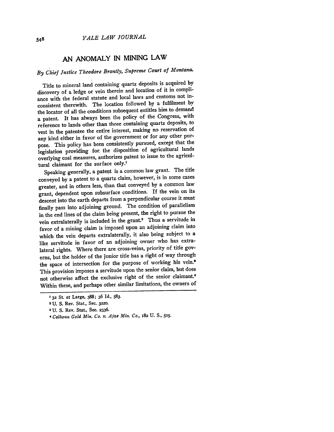## AN ANOMALY IN **MINING** LAW

## *By Chief Justice Theodore Brantly, Supreme Court of Montana,.*

Title to mineral land containing quartz deposits is acquired by discovery of a ledge or vein therein and location of it in compliance with the federal statute and local laws and customs not inconsistent therewith. The location followed **by** a fulfilment by the locator of all the conditions subsequent entitles him to demand a patent. It has always been the policy of the Congress, with reference to lands other than those containing quartz deposits, to vest in the patentee the entire interest, making no reservation of any kind either in favor of the government or for any other purpose. This policy has been consistently pursued, except that the legislation providing for, the disposition of agricultural lands overlying coal measures, authorizes patent to issue to the agricultural claimant for the surface only.'

Speaking generally, a patent is a common law grant. The title conveyed by a patent to a quartz claim, however, is in some cases greater, and in others less, than that conveyed by a common law grant, dependent upon subsurface conditions. **If** the vein on its descent into the earth departs from a perpendicular course it must finally pass into adjoining ground. The condition of parallelism in the end lines of the claim being present, the right to pursue the vein extralaterally is included in the grant.2 Thus a servitude in favor of a mining claim is imposed upon an adjoining claim into which the vein departs extralaterally, it also being subject to a like servitude in favor of an adjoining owner who has extralateral rights. Where there are cross-veins, priority of title governs, but the holder of the junior title has a right of way through the space of intersection for the purpose of working his vein.<sup>8</sup> This provision imposes a servitude upon the senior claim, but does not otherwise affect the exclusive right of the senior claimant.4 Within these, and perhaps other similar limitations, the owners of

*4* Calhoun Gold Min. Co. *v. Ajax Mitt. Co.,* **x82** U. **S., 505.**

**<sup>&#</sup>x27; 32 St.** at Large, **388; 36** Id., 583.

<sup>2</sup>**U. S.** Rev. Stat, Sec. **3220.**

**<sup>8</sup> U S.** Rev. Stat., Sec. **2336.**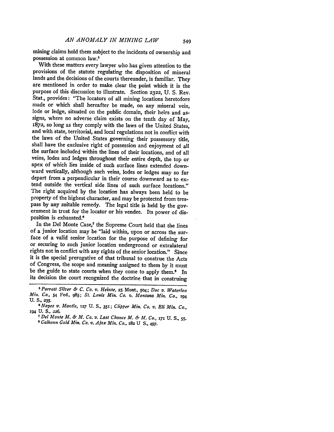mining claims hold them subject to the incidents of ownership and possession at common law.5

With these matters every lawyer who has given attention to the provisions of the statute regulating the disposition of mineral lands and the decisions of the courts thereunder, is familiar. They are mentioned in order to make clear the point which it is the purpose of this discussion to illustrate. Section **2322, U. S.** Rev. Stat., provides: "The locators of all mining locations heretofore made or which shall hereafter be made, on any mineral vein, lode or ledge, situated on the public domain, their heirs and assigns, where no adverse claim exists on the tenth day of May, **1872,** so long as they comply with the laws of the United States, and with state, territorial, and local regulations not in conflict with the laws of the United States governing their possessory title, shall have the exclusive right of possession and enjoyment of all the surface included within the lines of their locations, and of all veins, lodes and ledges throughout their entire depth, the top or apex of which lies inside of such surface lines extended downward vertically, although such veins, lodes or ledges may so far depart from a perpendicular in their course downward as to extend outside the vertical side lines of such surface locations." The right acquired **by** the location has always been held to be property of the highest character, and may be protected from trespass **by** any suitable remedy. The legal title is held **by** the government in trust for the locator or his vendee. Its power of disposition is exhausted.6

In the Del Monte Case,7 the Supreme Court held that the lines of a junior location may be "laid within, upon or across the surface of a valid senior location for the purpose of defining for or securing to such junior location underground or extralateral rights not in conflict with any rights of the senior location." Since it is the special prerogative of that tribunal to construe the Acts of Congress, the scope and meaning assigned to them **by** it must be the guide to state courts when they come to apply them.<sup>8</sup> In its decision the court recognized the doctrine that in construing

*7 Del Monte M. & M. Co. v. Last Chance M. & Mf. Co.,* **171 U. S., 55.** *s Calhoun Gold Min. Co. v. Ajax Min. Co.,* **x82 U S.,** 497.

*<sup>5</sup>Parrott Silver & C. Co. v. Heinze,* **25** Mont., **504;** *Doc v. Waterloo Min. Co., 54* Fed., 985; *St. Louis Min. Co. v. Montana Min. Co., 194* **U. S., 235.**

*<sup>6</sup> Noyes v. Mantle,* **127 U. S.,** *351; Clipper Min. Co. v. Eli Min. Co.,* **194 U. S., 226.**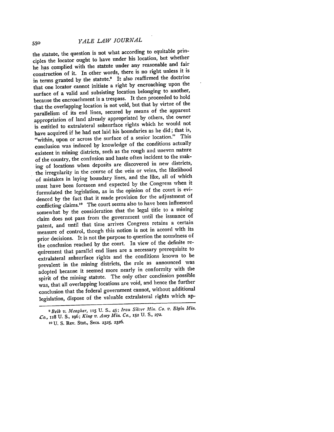the statute, the question is not what according to equitable principles the locator ought to have under his location, but whether he has complied with the statute under any reasonable and fair construction of it. In other words, there is no right unless it is in terms granted by the statute.<sup>9</sup> It also reaffirmed the doctrine that one locator cannot initiate a right by encroaching upon the surface of a valid and subsisting location belonging to another, because the encroachment is a trespass. It then proceeded to hold that the overlapping location is not void, but that by virtue of the parallelism of its end lines, secured by means of the apparent appropriation of land already appropriated by others, the owner is entitled to extralateral subsurface rights which he would not have acquired if he had not laid his boundaries as he did; that is, "within, upon or across the surface of a senior location." This conclusion was induced by knowledge of the conditions actually existent in mining districts, such as the rough and uneven nature of the country, the confusion and haste often incident to the making of locations when deposits are discovered in new districts, the irregularity in the course of the vein or veins, the likelihood of mistakes in laying boundary lines, and the like, all of which must have been foreseen and expected by the Congress when it formulated the legislation, as in the opinion of the court is evidenced by the fact that it made provision for the adjustment of conflicting claims."0 The court seems also to have been influenced somewhat by the consideration that the legal title to a mining claim does not pass from the government until the issuance of patent, and until that time arrives Congress retains a certain measure of control, though this notion is not in accord with its prior decisions. It is not the purpose to question the soundness of the conclusion reached by the court. In view of the definite requirement that parallel end lines are a necessary prerequisite to extralateral subsurface rights and the conditions known to be prevalent in the mining districts, the rule as announced was adopted because it seemed more nearly in conformity with the spirit of the mining statute. The only other concluision possible was, that all overlapping locations are void, and hence the further conclusion that the federal government cannot, without additional legislation, dispose of the valuable extralateral rights which ap-

*OBelk v. Meagher,* **115 U. S.,** 45; *Iron Silver Min. Co. %,. Elgin Min.* Co., 118 **U. S.,** i96; *King v. Anty Min. Co.,* **152 U. S., 272.**

**IOU.** S. Rev. Stat., Secs. **2325,** 2326.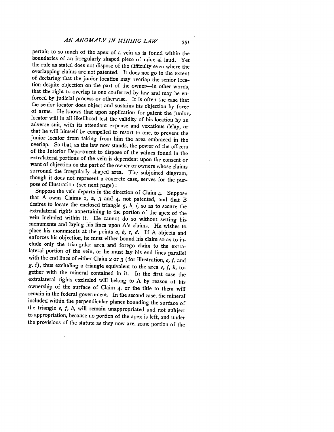pertain to so much of the apex of a vein as is found within the boundaries of an irregularly shaped piece of mineral land. Yet the rule as stated does not dispose of the difficulty even where the overlapping claims are not patented. It does not go to the extent of declaring that the junior location may overlap the senior location despite objection on the part of the owner-in other words, that the right to overlap is one conferred **by** law and may be enforced by judicial process or otherwise. It is often the case that the senior locator does object and sustains his objection by force of arms. Ile knows that upon application for patent the junior, locator will in all likelihood test the validity of his location by an adverse suit, with its attendant expense and vexatious delay, or that he will himself be compelled to resort to one, to prevent the junior locator from taking from him the area embraced in the overlap. So that, as the law now stands, the power of the officers of the Interior Department to dispose of the values found in the extralateral portions of the vein is dependent upon the consent or want of objection on the part of the owner or owners whose claims surround the irregularly shaped area. The subjoined diagram, though it does not represent **a** concrete case, serves for the purpose of illustration (see next page) **:**

that A owns Claims 1, 2, 3 and 4, not patented, and that B desires to locate the enclosed triangle *g, h, i,* so as to secure the extralateral rights appertaining to the portion of the apex of the vein included within it. He cannot do so without setting his monuments and laying his lines upon A's claims. He wishes to place his monuments at the points *a, b,* c, *d.* If A objects and enforces his objection, he must either bound his claim so as to include only the triangular area and forego claim to the extralateral portion of the vein, or he must lay his end lines parallel with the end lines of either Claim 2 or 3 (for illustration, *e, f.* and *g, i),* thus excluding a triangle equivalent to the area e, *f, h,* together with the mineral contained in it. In the first case the extralateral rights excluded will belong to A by reason of his ownership of the surface of Claim 4, or the title to them will remain in the federal government. In the second case, the mineral included within the perpendicular planes bounding the surface of the triangle e, *f, h,* will remain unappropriated and not subject to appropriation, because no portion of the apex is left, and under the provisions of the statute as they now are, some portion of the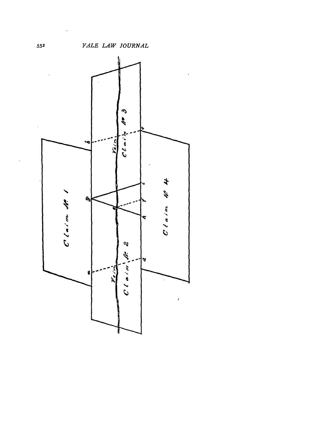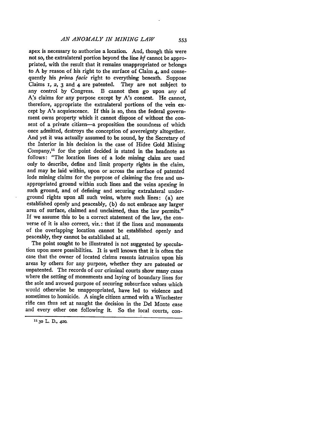apex is necessary to authorize a location. And, though this were not so, the extralateral portion beyond the line *hf* cannot be appropriated, with the result that it remains unappropriated or belongs to **A by** reason of his right to the surface of Claim 4, and consequently his *prima facie* right to everything beneath. Suppose Claims *i,* **2, 3** and 4 are patented. They are not subject to any control **by** Congress. B cannot then go upon any of **A** 's claims for any purpose except **by A's** consent. He cannot, therefore, appropriate the extralateral portions of the vein except **by** A's acquiescence. If this is so, then the federal government owns property which it cannot dispose of without the consent of a private citizen-a proposition the soundness of which once admitted, destroys the conception of sovereignty altogether. And yet it was actually assumed to be sound, **by** the Secretary of the Interior in his decision in the case of Hidee Gold Mining Company,<sup>11</sup> for the point decided is stated in the headnote as follows: "The location lines of a lode mining claim are used only to describe, define and limit property rights in the claim, and may be laid within, upon or across the surface of patented lode mining claims for the purpose of claiming the free and unappropriated ground within such lines and the veins apexing in such ground, and of defining and securing extralateral underground rights upon all such veins, where such lines: (a) are established openly and peaceably, **(b)** do not embrace any larger area of surface, claimed and unclaimed, than the law permits." If we assume this to be a correct statement of the law, the converse of it is also correct, viz.: that if the lines and monuments of the overlapping location cannot be established openly and peaceably, they cannot be established at all.

The point sought to be illustrated is not suggested **by** speculation upon mere possibilities. It is well known that it is often the case that the owner of located claims resents intrusion upon his areas **by** others for any purpose, whether they are patented or unpatented. The records of our criminal courts show many cases where the setting of monuments and laying of boundary lines for the sole and avowed purpose of securing subsurface values which would otherwise be unappropriated, have led to violence and sometimes to homicide. **A** single citizen armed with a Winchester rifle can thus set at naught the decision in the Del Monte case and every other one following it. So the local courts, con-

553

**<sup>113</sup>o** L. **D., 420.**